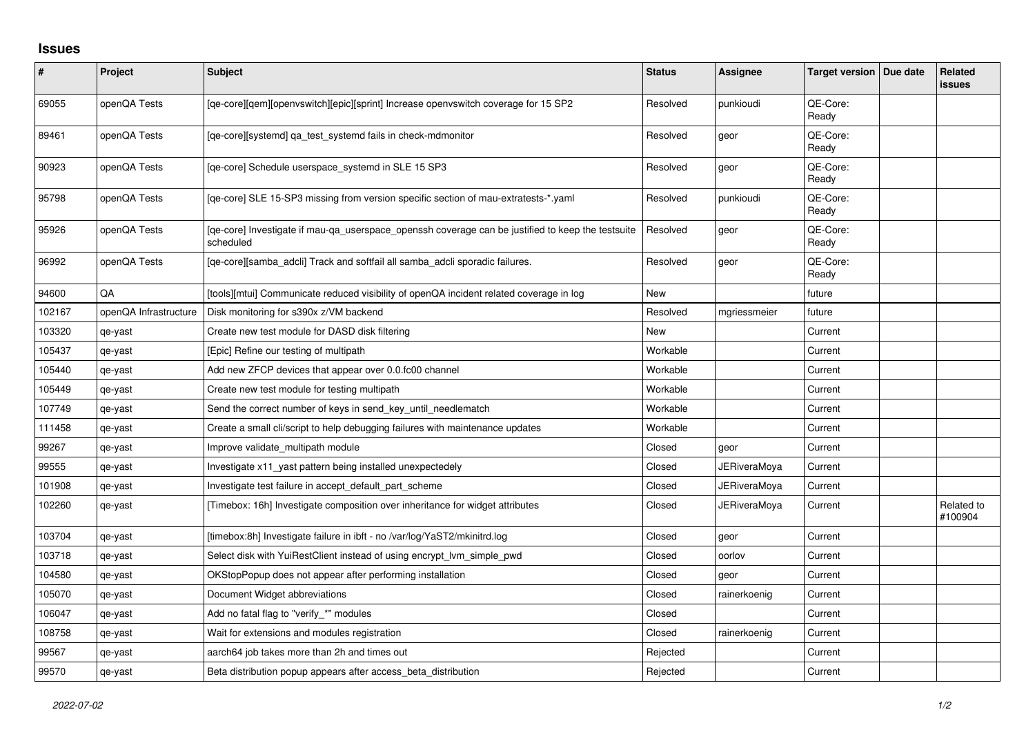## **Issues**

| $\vert$ # | Project               | Subject                                                                                                        | <b>Status</b> | Assignee            | Target version   Due date | <b>Related</b><br>issues |
|-----------|-----------------------|----------------------------------------------------------------------------------------------------------------|---------------|---------------------|---------------------------|--------------------------|
| 69055     | openQA Tests          | [qe-core][qem][openvswitch][epic][sprint] Increase openvswitch coverage for 15 SP2                             | Resolved      | punkioudi           | QE-Core:<br>Ready         |                          |
| 89461     | openQA Tests          | [ge-core][systemd] ga test systemd fails in check-mdmonitor                                                    | Resolved      | geor                | QE-Core:<br>Ready         |                          |
| 90923     | openQA Tests          | [ge-core] Schedule userspace systemd in SLE 15 SP3                                                             | Resolved      | geor                | QE-Core:<br>Ready         |                          |
| 95798     | openQA Tests          | [qe-core] SLE 15-SP3 missing from version specific section of mau-extratests-*.yaml                            | Resolved      | punkioudi           | QE-Core:<br>Ready         |                          |
| 95926     | openQA Tests          | [qe-core] Investigate if mau-qa_userspace_openssh coverage can be justified to keep the testsuite<br>scheduled | Resolved      | geor                | QE-Core:<br>Ready         |                          |
| 96992     | openQA Tests          | [qe-core][samba_adcli] Track and softfail all samba_adcli sporadic failures.                                   | Resolved      | geor                | QE-Core:<br>Ready         |                          |
| 94600     | QA                    | [tools][mtui] Communicate reduced visibility of openQA incident related coverage in log                        | <b>New</b>    |                     | future                    |                          |
| 102167    | openQA Infrastructure | Disk monitoring for s390x z/VM backend                                                                         | Resolved      | mgriessmeier        | future                    |                          |
| 103320    | qe-yast               | Create new test module for DASD disk filtering                                                                 | New           |                     | Current                   |                          |
| 105437    | qe-yast               | [Epic] Refine our testing of multipath                                                                         | Workable      |                     | Current                   |                          |
| 105440    | qe-yast               | Add new ZFCP devices that appear over 0.0.fc00 channel                                                         | Workable      |                     | Current                   |                          |
| 105449    | qe-yast               | Create new test module for testing multipath                                                                   | Workable      |                     | Current                   |                          |
| 107749    | qe-yast               | Send the correct number of keys in send_key_until_needlematch                                                  | Workable      |                     | Current                   |                          |
| 111458    | qe-yast               | Create a small cli/script to help debugging failures with maintenance updates                                  | Workable      |                     | Current                   |                          |
| 99267     | qe-yast               | Improve validate_multipath module                                                                              | Closed        | geor                | Current                   |                          |
| 99555     | qe-yast               | Investigate x11_yast pattern being installed unexpectedely                                                     | Closed        | <b>JERiveraMoya</b> | Current                   |                          |
| 101908    | qe-yast               | Investigate test failure in accept default part scheme                                                         | Closed        | JERiveraMoya        | Current                   |                          |
| 102260    | qe-yast               | [Timebox: 16h] Investigate composition over inheritance for widget attributes                                  | Closed        | <b>JERiveraMoya</b> | Current                   | Related to<br>#100904    |
| 103704    | qe-yast               | [timebox:8h] Investigate failure in ibft - no /var/log/YaST2/mkinitrd.log                                      | Closed        | geor                | Current                   |                          |
| 103718    | qe-yast               | Select disk with YuiRestClient instead of using encrypt Ivm simple pwd                                         | Closed        | oorlov              | Current                   |                          |
| 104580    | qe-yast               | OKStopPopup does not appear after performing installation                                                      | Closed        | geor                | Current                   |                          |
| 105070    | qe-yast               | Document Widget abbreviations                                                                                  | Closed        | rainerkoenig        | Current                   |                          |
| 106047    | qe-yast               | Add no fatal flag to "verify_*" modules                                                                        | Closed        |                     | Current                   |                          |
| 108758    | qe-yast               | Wait for extensions and modules registration                                                                   | Closed        | rainerkoenig        | Current                   |                          |
| 99567     | qe-yast               | aarch64 job takes more than 2h and times out                                                                   | Rejected      |                     | Current                   |                          |
| 99570     | qe-yast               | Beta distribution popup appears after access beta distribution                                                 | Rejected      |                     | Current                   |                          |